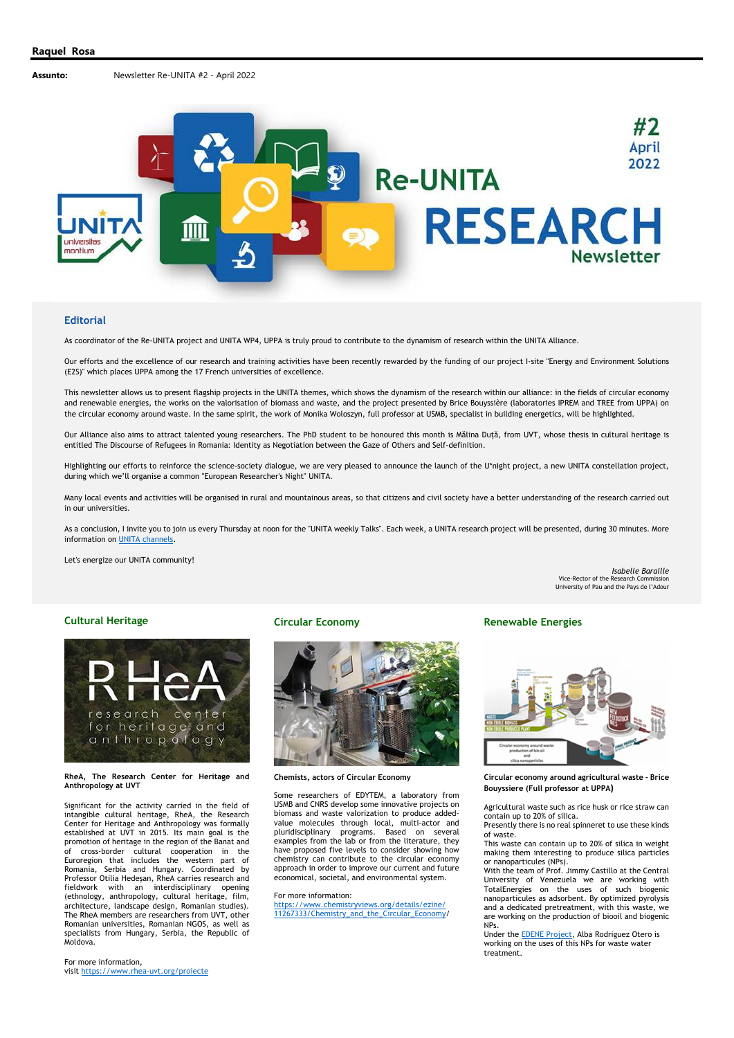

#### **Editorial**

As coordinator of the Re-UNITA project and UNITA WP4, UPPA is truly proud to contribute to the dynamism of research within the UNITA Alliance.

Our efforts and the excellence of our research and training activities have been recently rewarded by the funding of our project I-site "Energy and Environment Solutions (E2S)" which places UPPA among the 17 French universities of excellence.

This newsletter allows us to present flagship projects in the UNITA themes, which shows the dynamism of the research within our alliance: in the fields of circular economy and renewable energies, the works on the valorisation of biomass and waste, and the project presented by Brice Bouyssière (laboratories IPREM and TREE from UPPA) on the circular economy around waste. In the same spirit, the work of Monika Woloszyn, full professor at USMB, specialist in building energetics, will be highlighted.

Our Alliance also aims to attract talented young researchers. The PhD student to be honoured this month is Mălina Duță, from UVT, whose thesis in cultural heritage is entitled The Discourse of Refugees in Romania: Identity as Negotiation between the Gaze of Others and Self-definition.

Highlighting our efforts to reinforce the science-society dialogue, we are very pleased to announce the launch of the U\*night project, a new UNITA constellation project, during which we'll organise a common "European Researcher's Night" UNITA.

Many local events and activities will be organised in rural and mountainous areas, so that citizens and civil society have a better understanding of the research carried out in our universities.

As a conclusion, I invite you to join us every Thursday at noon for the "UNITA weekly Talks". Each week, a UNITA research project will be presented, during 30 minutes. More information on **UNITA** channels.

Let's energize our UNITA community!

*Isabelle Baraille*  Vice-Rector of the Research Commission University of Pau and the Pays de l'Adour

## **Cultural Heritage**



#### **RheA, The Research Center for Heritage and Anthropology at UVT**

Significant for the activity carried in the field of intangible cultural heritage, RheA, the Research Center for Heritage and Anthropology was formally established at UVT in 2015. Its main goal is the promotion of heritage in the region of the Banat and of cross-border cultural cooperation in the Euroregion that includes the western part of Romania, Serbia and Hungary. Coordinated by Professor Otilia Hedeșan, RheA carries research and fieldwork with an interdisciplinary opening (ethnology, anthropology, cultural heritage, film, architecture, landscape design, Romanian studies). The RheA members are researchers from UVT, other Romanian universities, Romanian NGOS, as well as specialists from Hungary, Serbia, the Republic of Moldova.

# **Circular Economy**



**Chemists, actors of Circular Economy** 

Some researchers of EDYTEM, a laboratory from USMB and CNRS develop some innovative projects on biomass and waste valorization to produce addedvalue molecules through local, multi-actor and pluridisciplinary programs. Based on several examples from the lab or from the literature, they have proposed five levels to consider showing how chemistry can contribute to the circular economy approach in order to improve our current and future economical, societal, and environmental system.

#### For more information:

https://www.chemistryviews.org/details/ezine/ 11267333/Chemistry\_and\_the\_Circular\_Economy/

### **Renewable Energies**



**Circular economy around agricultural waste - Brice Bouyssiere (Full professor at UPPA)**

Agricultural waste such as rice husk or rice straw can contain up to 20% of silica. Presently there is no real spinneret to use these kinds

of waste. This waste can contain up to 20% of silica in weight

making them interesting to produce silica particles or nanoparticules (NPs).

With the team of Prof. Jimmy Castillo at the Central University of Venezuela we are working with TotalEnergies on the uses of such biogenic nanoparticules as adsorbent. By optimized pyrolysis and a dedicated pretreatment, with this waste, we are working on the production of biooil and biogenic NPs.

Under the EDENE Project, Alba Rodriguez Otero is working on the uses of this NPs for waste water treatment.